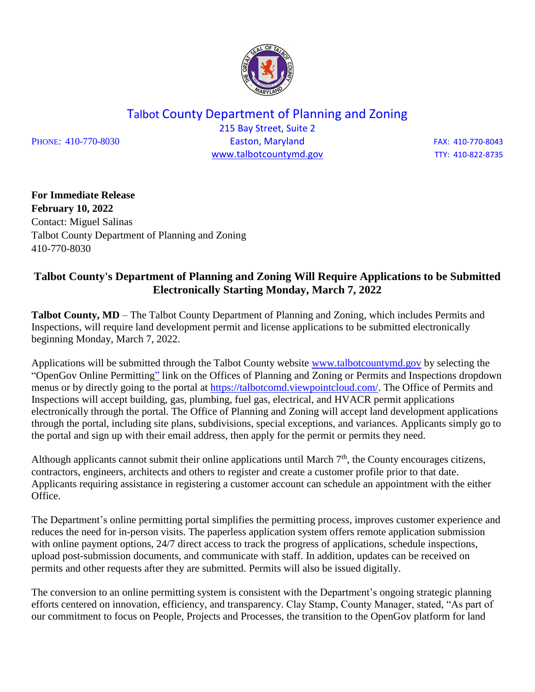

Talbot County Department of Planning and Zoning

215 Bay Street, Suite 2 PHONE: 410-770-8030 **Easton, Maryland Easton**, Easton, Easton, Easton, EAX: 410-770-8043 [www.talbotcountymd.gov](http://www.talbotcountymd.gov/) TTY: 410-822-8735

**For Immediate Release February 10, 2022** Contact: Miguel Salinas Talbot County Department of Planning and Zoning 410-770-8030

## **Talbot County's Department of Planning and Zoning Will Require Applications to be Submitted Electronically Starting Monday, March 7, 2022**

**Talbot County, MD** – The Talbot County Department of Planning and Zoning, which includes Permits and Inspections, will require land development permit and license applications to be submitted electronically beginning Monday, March 7, 2022.

Applications will be submitted through the Talbot County website [www.talbotcountymd.gov](http://www.talbotcountymd.gov/) by selecting the "OpenGov Online Permitting" link on the Offices of Planning and Zoning or Permits and Inspections dropdown menus or by directly going to the portal at [https://talbotcomd.viewpointcloud.com/.](https://talbotcomd.viewpointcloud.com/) The Office of Permits and Inspections will accept building, gas, plumbing, fuel gas, electrical, and HVACR permit applications electronically through the portal. The Office of Planning and Zoning will accept land development applications through the portal, including site plans, subdivisions, special exceptions, and variances. Applicants simply go to the portal and sign up with their email address, then apply for the permit or permits they need.

Although applicants cannot submit their online applications until March  $7<sup>th</sup>$ , the County encourages citizens, contractors, engineers, architects and others to register and create a customer profile prior to that date. Applicants requiring assistance in registering a customer account can schedule an appointment with the either Office.

The Department's online permitting portal simplifies the permitting process, improves customer experience and reduces the need for in-person visits. The paperless application system offers remote application submission with online payment options, 24/7 direct access to track the progress of applications, schedule inspections, upload post-submission documents, and communicate with staff. In addition, updates can be received on permits and other requests after they are submitted. Permits will also be issued digitally.

The conversion to an online permitting system is consistent with the Department's ongoing strategic planning efforts centered on innovation, efficiency, and transparency. Clay Stamp, County Manager, stated, "As part of our commitment to focus on People, Projects and Processes, the transition to the OpenGov platform for land